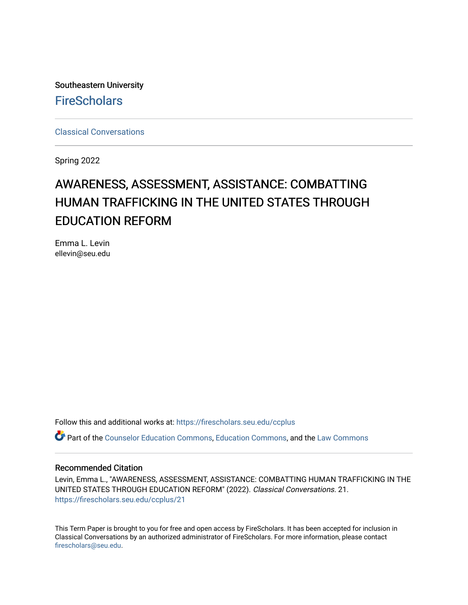Southeastern University **FireScholars** 

[Classical Conversations](https://firescholars.seu.edu/ccplus)

Spring 2022

# AWARENESS, ASSESSMENT, ASSISTANCE: COMBATTING HUMAN TRAFFICKING IN THE UNITED STATES THROUGH EDUCATION REFORM

Emma L. Levin ellevin@seu.edu

Follow this and additional works at: [https://firescholars.seu.edu/ccplus](https://firescholars.seu.edu/ccplus?utm_source=firescholars.seu.edu%2Fccplus%2F21&utm_medium=PDF&utm_campaign=PDFCoverPages)

Part of the [Counselor Education Commons,](http://network.bepress.com/hgg/discipline/1278?utm_source=firescholars.seu.edu%2Fccplus%2F21&utm_medium=PDF&utm_campaign=PDFCoverPages) [Education Commons](http://network.bepress.com/hgg/discipline/784?utm_source=firescholars.seu.edu%2Fccplus%2F21&utm_medium=PDF&utm_campaign=PDFCoverPages), and the [Law Commons](http://network.bepress.com/hgg/discipline/578?utm_source=firescholars.seu.edu%2Fccplus%2F21&utm_medium=PDF&utm_campaign=PDFCoverPages)

### Recommended Citation

Levin, Emma L., "AWARENESS, ASSESSMENT, ASSISTANCE: COMBATTING HUMAN TRAFFICKING IN THE UNITED STATES THROUGH EDUCATION REFORM" (2022). Classical Conversations. 21. [https://firescholars.seu.edu/ccplus/21](https://firescholars.seu.edu/ccplus/21?utm_source=firescholars.seu.edu%2Fccplus%2F21&utm_medium=PDF&utm_campaign=PDFCoverPages) 

This Term Paper is brought to you for free and open access by FireScholars. It has been accepted for inclusion in Classical Conversations by an authorized administrator of FireScholars. For more information, please contact [firescholars@seu.edu.](mailto:firescholars@seu.edu)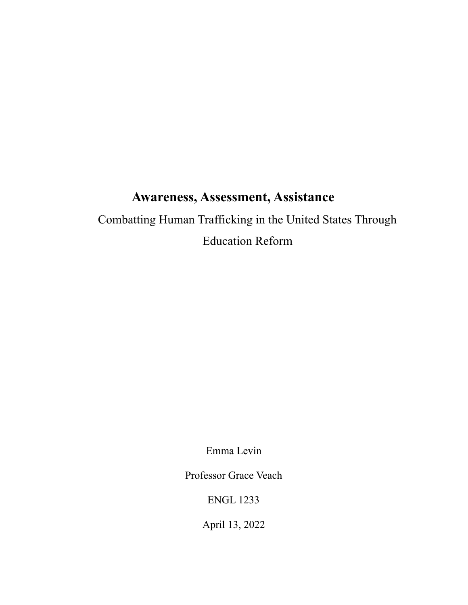## **Awareness, Assessment, Assistance**

Combatting Human Trafficking in the United States Through Education Reform

Emma Levin

Professor Grace Veach

ENGL 1233

April 13, 2022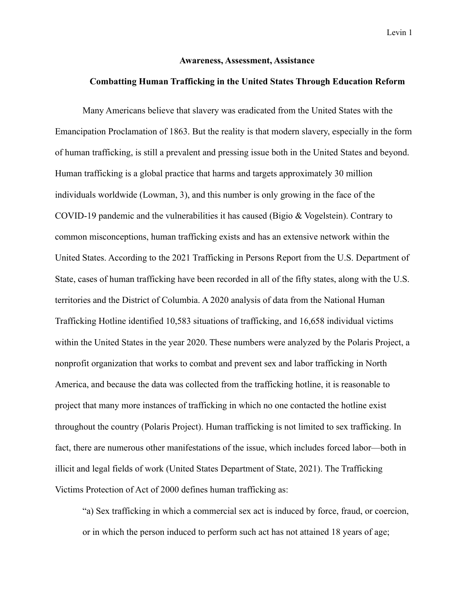### **Awareness, Assessment, Assistance**

## **Combatting Human Trafficking in the United States Through Education Reform**

Many Americans believe that slavery was eradicated from the United States with the Emancipation Proclamation of 1863. But the reality is that modern slavery, especially in the form of human trafficking, is still a prevalent and pressing issue both in the United States and beyond. Human trafficking is a global practice that harms and targets approximately 30 million individuals worldwide (Lowman, 3), and this number is only growing in the face of the COVID-19 pandemic and the vulnerabilities it has caused (Bigio & Vogelstein). Contrary to common misconceptions, human trafficking exists and has an extensive network within the United States. According to the 2021 Trafficking in Persons Report from the U.S. Department of State, [c](https://www.state.gov/reports/2021-trafficking-in-persons-report/united-states/)ases of human trafficking have been recorded in all of the fifty states, along with the U.S. territories and the District of Columbia. A 2020 analysis of data from the National Human Trafficking Hotline identified 10,583 situations of trafficking, and 16,658 individual victims within the United States in the year 2020. These numbers were analyzed by the Polaris Project, a nonprofit organization that works to combat and prevent sex and labor trafficking in North America, and because the data was collected from the trafficking hotline, it is reasonable to project that many more instances of trafficking in which no one contacted the hotline exist throughout the country (Polaris Project). Human trafficking is not limited to sex trafficking. In fact, there are numerous other manifestations of the issue, which includes forced labor—both in illicit and legal fields of work (United States Department of State, 2021). The Trafficking Victims Protection of Act of 2000 defines human trafficking as:

"a) Sex trafficking in which a commercial sex act is induced by force, fraud, or coercion, or in which the person induced to perform such act has not attained 18 years of age;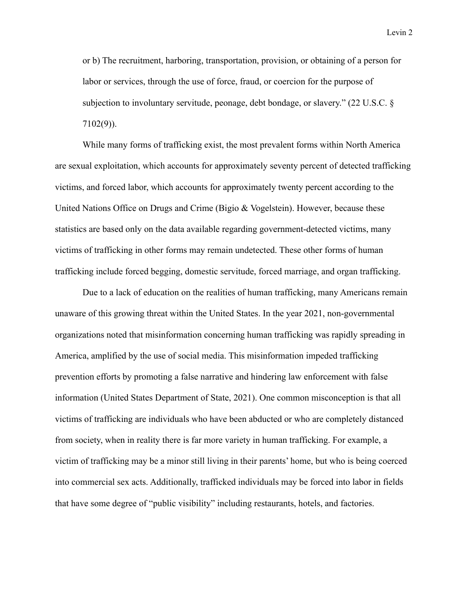or b) The recruitment, harboring, transportation, provision, or obtaining of a person for labor or services, through the use of force, fraud, or coercion for the purpose of subjection to involuntary servitude, peonage, debt bondage, or slavery." (22 U.S.C. § 7102(9)).

While many forms of trafficking exist, the most prevalent forms within North America are sexual exploitation, which accounts for approximately seventy percent of detected trafficking victims, and forced labor, which accounts for approximately twenty percent according to the United Nations Office on Drugs and Crime (Bigio & Vogelstein). However, because these statistics are based only on the data available regarding government-detected victims, many victims of trafficking in other forms may remain undetected. These other forms of human trafficking include forced begging, domestic servitude, forced marriage, and organ trafficking.

Due to a lack of education on the realities of human trafficking, many Americans remain unaware of this growing threat within the United States. In the year 2021, non-governmental organizations noted that misinformation concerning human trafficking was rapidly spreading in America, amplified by the use of social media. This misinformation impeded trafficking prevention efforts by promoting a false narrative and hindering law enforcement with false information (United States Department of State, 2021). One common misconception is that all victims of trafficking are individuals who have been abducted or who are completely distanced from society, when in reality there is far more variety in human trafficking. For example, a victim of trafficking may be a minor still living in their parents' home, but who is being coerced into commercial sex acts. Additionally, trafficked individuals may be forced into labor in fields that have some degree of "public visibility" including restaurants, hotels, and factories.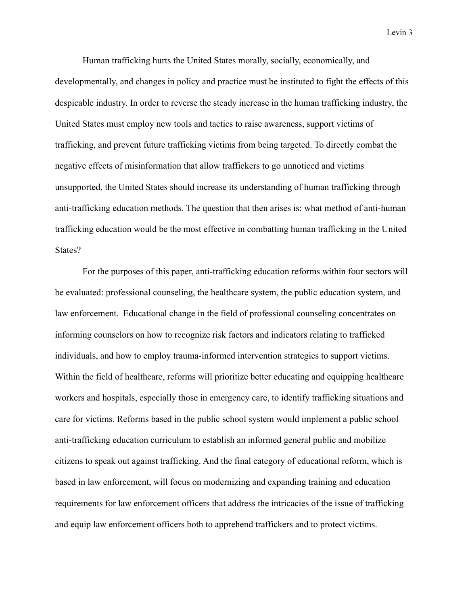Human trafficking hurts the United States morally, socially, economically, and developmentally, and changes in policy and practice must be instituted to fight the effects of this despicable industry. In order to reverse the steady increase in the human trafficking industry, the United States must employ new tools and tactics to raise awareness, support victims of trafficking, and prevent future trafficking victims from being targeted. To directly combat the negative effects of misinformation that allow traffickers to go unnoticed and victims unsupported, the United States should increase its understanding of human trafficking through anti-trafficking education methods. The question that then arises is: what method of anti-human trafficking education would be the most effective in combatting human trafficking in the United States?

For the purposes of this paper, anti-trafficking education reforms within four sectors will be evaluated: professional counseling, the healthcare system, the public education system, and law enforcement. Educational change in the field of professional counseling concentrates on informing counselors on how to recognize risk factors and indicators relating to trafficked individuals, and how to employ trauma-informed intervention strategies to support victims. Within the field of healthcare, reforms will prioritize better educating and equipping healthcare workers and hospitals, especially those in emergency care, to identify trafficking situations and care for victims. Reforms based in the public school system would implement a public school anti-trafficking education curriculum to establish an informed general public and mobilize citizens to speak out against trafficking. And the final category of educational reform, which is based in law enforcement, will focus on modernizing and expanding training and education requirements for law enforcement officers that address the intricacies of the issue of trafficking and equip law enforcement officers both to apprehend traffickers and to protect victims.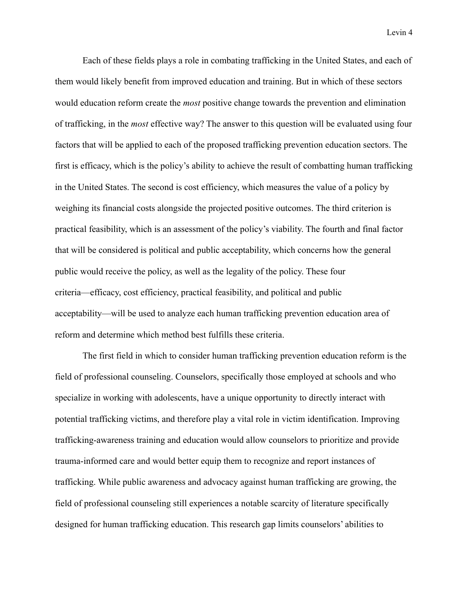Each of these fields plays a role in combating trafficking in the United States, and each of them would likely benefit from improved education and training. But in which of these sectors would education reform create the *most* positive change towards the prevention and elimination of trafficking, in the *most* effective way? The answer to this question will be evaluated using four factors that will be applied to each of the proposed trafficking prevention education sectors. The first is efficacy, which is the policy's ability to achieve the result of combatting human trafficking in the United States. The second is cost efficiency, which measures the value of a policy by weighing its financial costs alongside the projected positive outcomes. The third criterion is practical feasibility, which is an assessment of the policy's viability. The fourth and final factor that will be considered is political and public acceptability, which concerns how the general public would receive the policy, as well as the legality of the policy. These four criteria—efficacy, cost efficiency, practical feasibility, and political and public acceptability—will be used to analyze each human trafficking prevention education area of reform and determine which method best fulfills these criteria.

The first field in which to consider human trafficking prevention education reform is the field of professional counseling. Counselors, specifically those employed at schools and who specialize in working with adolescents, have a unique opportunity to directly interact with potential trafficking victims, and therefore play a vital role in victim identification. Improving trafficking-awareness training and education would allow counselors to prioritize and provide trauma-informed care and would better equip them to recognize and report instances of trafficking. While public awareness and advocacy against human trafficking are growing, the field of professional counseling still experiences a notable scarcity of literature specifically designed for human trafficking education. This research gap limits counselors' abilities to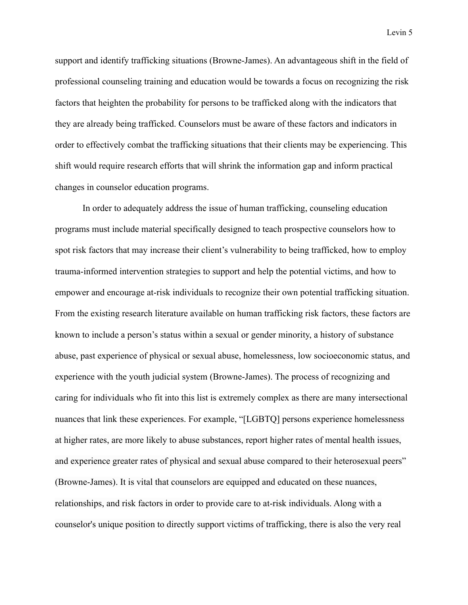support and identify trafficking situations (Browne-James). An advantageous shift in the field of professional counseling training and education would be towards a focus on recognizing the risk factors that heighten the probability for persons to be trafficked along with the indicators that they are already being trafficked. Counselors must be aware of these factors and indicators in order to effectively combat the trafficking situations that their clients may be experiencing. This shift would require research efforts that will shrink the information gap and inform practical changes in counselor education programs.

In order to adequately address the issue of human trafficking, counseling education programs must include material specifically designed to teach prospective counselors how to spot risk factors that may increase their client's vulnerability to being trafficked, how to employ trauma-informed intervention strategies to support and help the potential victims, and how to empower and encourage at-risk individuals to recognize their own potential trafficking situation. From the existing research literature available on human trafficking risk factors, these factors are known to include a person's status within a sexual or gender minority, a history of substance abuse, past experience of physical or sexual abuse, homelessness, low socioeconomic status, and experience with the youth judicial system (Browne-James). The process of recognizing and caring for individuals who fit into this list is extremely complex as there are many intersectional nuances that link these experiences. For example, "[LGBTQ] persons experience homelessness at higher rates, are more likely to abuse substances, report higher rates of mental health issues, and experience greater rates of physical and sexual abuse compared to their heterosexual peers" (Browne-James). It is vital that counselors are equipped and educated on these nuances, relationships, and risk factors in order to provide care to at-risk individuals. Along with a counselor's unique position to directly support victims of trafficking, there is also the very real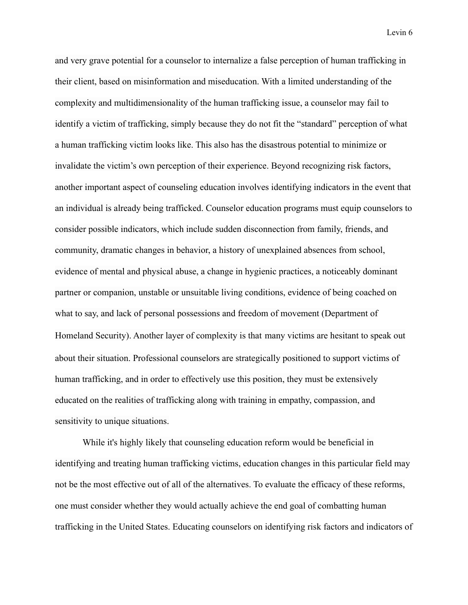and very grave potential for a counselor to internalize a false perception of human trafficking in their client, based on misinformation and miseducation. With a limited understanding of the complexity and multidimensionality of the human trafficking issue, a counselor may fail to identify a victim of trafficking, simply because they do not fit the "standard" perception of what a human trafficking victim looks like. This also has the disastrous potential to minimize or invalidate the victim's own perception of their experience. Beyond recognizing risk factors, another important aspect of counseling education involves identifying indicators in the event that an individual is already being trafficked. Counselor education programs must equip counselors to consider possible indicators, which include sudden disconnection from family, friends, and community, dramatic changes in behavior, a history of unexplained absences from school, evidence of mental and physical abuse, a change in hygienic practices, a noticeably dominant partner or companion, unstable or unsuitable living conditions, evidence of being coached on what to say, and lack of personal possessions and freedom of movement (Department of Homeland Security). Another layer of complexity is that many victims are hesitant to speak out about their situation. Professional counselors are strategically positioned to support victims of human trafficking, and in order to effectively use this position, they must be extensively educated on the realities of trafficking along with training in empathy, compassion, and sensitivity to unique situations.

While it's highly likely that counseling education reform would be beneficial in identifying and treating human trafficking victims, education changes in this particular field may not be the most effective out of all of the alternatives. To evaluate the efficacy of these reforms, one must consider whether they would actually achieve the end goal of combatting human trafficking in the United States. Educating counselors on identifying risk factors and indicators of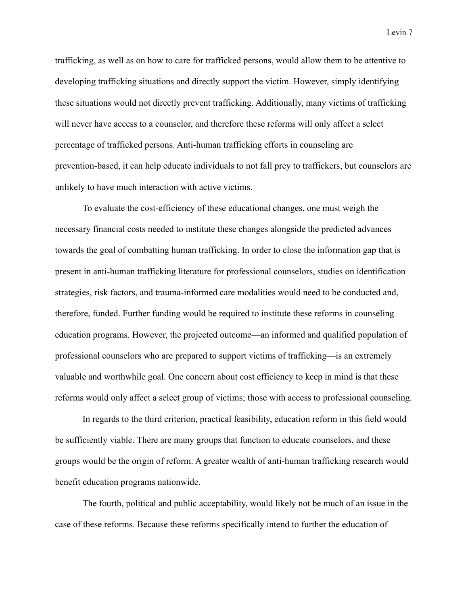trafficking, as well as on how to care for trafficked persons, would allow them to be attentive to developing trafficking situations and directly support the victim. However, simply identifying these situations would not directly prevent trafficking. Additionally, many victims of trafficking will never have access to a counselor, and therefore these reforms will only affect a select percentage of trafficked persons. Anti-human trafficking efforts in counseling are prevention-based, it can help educate individuals to not fall prey to traffickers, but counselors are unlikely to have much interaction with active victims.

To evaluate the cost-efficiency of these educational changes, one must weigh the necessary financial costs needed to institute these changes alongside the predicted advances towards the goal of combatting human trafficking. In order to close the information gap that is present in anti-human trafficking literature for professional counselors, studies on identification strategies, risk factors, and trauma-informed care modalities would need to be conducted and, therefore, funded. Further funding would be required to institute these reforms in counseling education programs. However, the projected outcome—an informed and qualified population of professional counselors who are prepared to support victims of trafficking—is an extremely valuable and worthwhile goal. One concern about cost efficiency to keep in mind is that these reforms would only affect a select group of victims; those with access to professional counseling.

In regards to the third criterion, practical feasibility, education reform in this field would be sufficiently viable. There are many groups that function to educate counselors, and these groups would be the origin of reform. A greater wealth of anti-human trafficking research would benefit education programs nationwide.

The fourth, political and public acceptability, would likely not be much of an issue in the case of these reforms. Because these reforms specifically intend to further the education of

Levin 7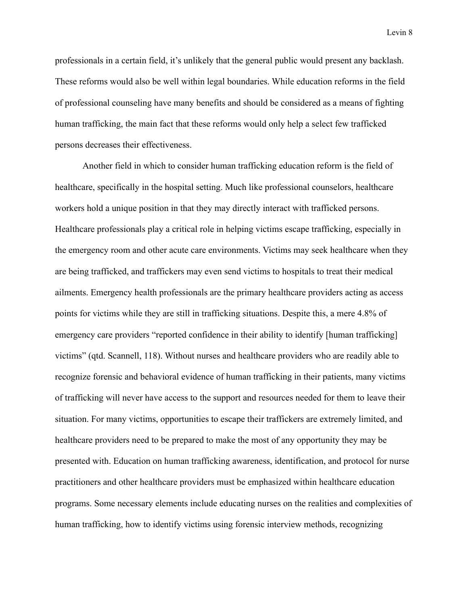professionals in a certain field, it's unlikely that the general public would present any backlash. These reforms would also be well within legal boundaries. While education reforms in the field of professional counseling have many benefits and should be considered as a means of fighting human trafficking, the main fact that these reforms would only help a select few trafficked persons decreases their effectiveness.

Another field in which to consider human trafficking education reform is the field of healthcare, specifically in the hospital setting. Much like professional counselors, healthcare workers hold a unique position in that they may directly interact with trafficked persons. Healthcare professionals play a critical role in helping victims escape trafficking, especially in the emergency room and other acute care environments. Victims may seek healthcare when they are being trafficked, and traffickers may even send victims to hospitals to treat their medical ailments. Emergency health professionals are the primary healthcare providers acting as access points for victims while they are still in trafficking situations. Despite this, a mere 4.8% of emergency care providers "reported confidence in their ability to identify [human trafficking] victims" (qtd. Scannell, 118). Without nurses and healthcare providers who are readily able to recognize forensic and behavioral evidence of human trafficking in their patients, many victims of trafficking will never have access to the support and resources needed for them to leave their situation. For many victims, opportunities to escape their traffickers are extremely limited, and healthcare providers need to be prepared to make the most of any opportunity they may be presented with. Education on human trafficking awareness, identification, and protocol for nurse practitioners and other healthcare providers must be emphasized within healthcare education programs. Some necessary elements include educating nurses on the realities and complexities of human trafficking, how to identify victims using forensic interview methods, recognizing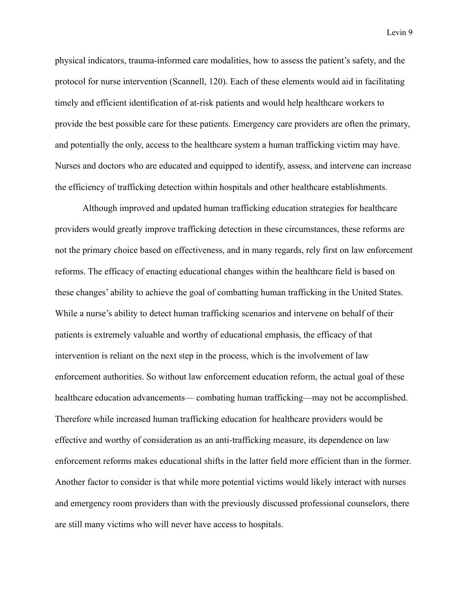physical indicators, trauma-informed care modalities, how to assess the patient's safety, and the protocol for nurse intervention (Scannell, 120). Each of these elements would aid in facilitating timely and efficient identification of at-risk patients and would help healthcare workers to provide the best possible care for these patients. Emergency care providers are often the primary, and potentially the only, access to the healthcare system a human trafficking victim may have. Nurses and doctors who are educated and equipped to identify, assess, and intervene can increase the efficiency of trafficking detection within hospitals and other healthcare establishments.

Although improved and updated human trafficking education strategies for healthcare providers would greatly improve trafficking detection in these circumstances, these reforms are not the primary choice based on effectiveness, and in many regards, rely first on law enforcement reforms. The efficacy of enacting educational changes within the healthcare field is based on these changes' ability to achieve the goal of combatting human trafficking in the United States. While a nurse's ability to detect human trafficking scenarios and intervene on behalf of their patients is extremely valuable and worthy of educational emphasis, the efficacy of that intervention is reliant on the next step in the process, which is the involvement of law enforcement authorities. So without law enforcement education reform, the actual goal of these healthcare education advancements— combating human trafficking—may not be accomplished. Therefore while increased human trafficking education for healthcare providers would be effective and worthy of consideration as an anti-trafficking measure, its dependence on law enforcement reforms makes educational shifts in the latter field more efficient than in the former. Another factor to consider is that while more potential victims would likely interact with nurses and emergency room providers than with the previously discussed professional counselors, there are still many victims who will never have access to hospitals.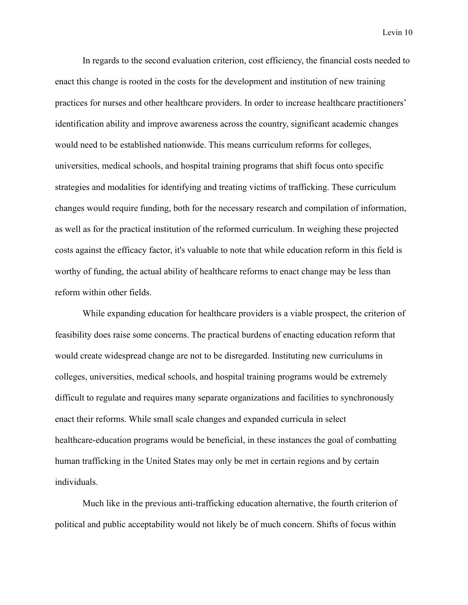In regards to the second evaluation criterion, cost efficiency, the financial costs needed to enact this change is rooted in the costs for the development and institution of new training practices for nurses and other healthcare providers. In order to increase healthcare practitioners' identification ability and improve awareness across the country, significant academic changes would need to be established nationwide. This means curriculum reforms for colleges, universities, medical schools, and hospital training programs that shift focus onto specific strategies and modalities for identifying and treating victims of trafficking. These curriculum changes would require funding, both for the necessary research and compilation of information, as well as for the practical institution of the reformed curriculum. In weighing these projected costs against the efficacy factor, it's valuable to note that while education reform in this field is worthy of funding, the actual ability of healthcare reforms to enact change may be less than reform within other fields.

While expanding education for healthcare providers is a viable prospect, the criterion of feasibility does raise some concerns. The practical burdens of enacting education reform that would create widespread change are not to be disregarded. Instituting new curriculums in colleges, universities, medical schools, and hospital training programs would be extremely difficult to regulate and requires many separate organizations and facilities to synchronously enact their reforms. While small scale changes and expanded curricula in select healthcare-education programs would be beneficial, in these instances the goal of combatting human trafficking in the United States may only be met in certain regions and by certain individuals.

Much like in the previous anti-trafficking education alternative, the fourth criterion of political and public acceptability would not likely be of much concern. Shifts of focus within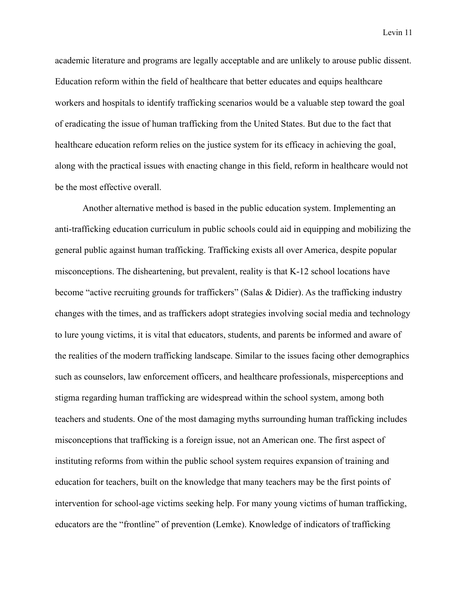academic literature and programs are legally acceptable and are unlikely to arouse public dissent. Education reform within the field of healthcare that better educates and equips healthcare workers and hospitals to identify trafficking scenarios would be a valuable step toward the goal of eradicating the issue of human trafficking from the United States. But due to the fact that healthcare education reform relies on the justice system for its efficacy in achieving the goal, along with the practical issues with enacting change in this field, reform in healthcare would not be the most effective overall.

Another alternative method is based in the public education system. Implementing an anti-trafficking education curriculum in public schools could aid in equipping and mobilizing the general public against human trafficking. Trafficking exists all over America, despite popular misconceptions. The disheartening, but prevalent, reality is that K-12 school locations have become "active recruiting grounds for traffickers" (Salas & Didier). As the trafficking industry changes with the times, and as traffickers adopt strategies involving social media and technology to lure young victims, it is vital that educators, students, and parents be informed and aware of the realities of the modern trafficking landscape. Similar to the issues facing other demographics such as counselors, law enforcement officers, and healthcare professionals, misperceptions and stigma regarding human trafficking are widespread within the school system, among both teachers and students. One of the most damaging myths surrounding human trafficking includes misconceptions that trafficking is a foreign issue, not an American one. The first aspect of instituting reforms from within the public school system requires expansion of training and education for teachers, built on the knowledge that many teachers may be the first points of intervention for school-age victims seeking help. For many young victims of human trafficking, educators are the "frontline" of prevention (Lemke). Knowledge of indicators of trafficking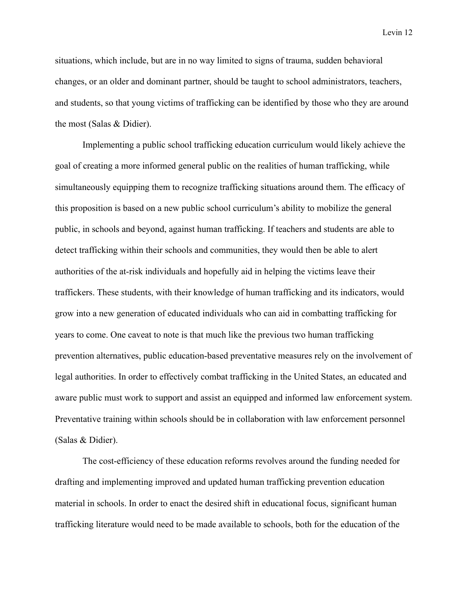situations, which include, but are in no way limited to signs of trauma, sudden behavioral changes, or an older and dominant partner, should be taught to school administrators, teachers, and students, so that young victims of trafficking can be identified by those who they are around the most (Salas & Didier).

Implementing a public school trafficking education curriculum would likely achieve the goal of creating a more informed general public on the realities of human trafficking, while simultaneously equipping them to recognize trafficking situations around them. The efficacy of this proposition is based on a new public school curriculum's ability to mobilize the general public, in schools and beyond, against human trafficking. If teachers and students are able to detect trafficking within their schools and communities, they would then be able to alert authorities of the at-risk individuals and hopefully aid in helping the victims leave their traffickers. These students, with their knowledge of human trafficking and its indicators, would grow into a new generation of educated individuals who can aid in combatting trafficking for years to come. One caveat to note is that much like the previous two human trafficking prevention alternatives, public education-based preventative measures rely on the involvement of legal authorities. In order to effectively combat trafficking in the United States, an educated and aware public must work to support and assist an equipped and informed law enforcement system. Preventative training within schools should be in collaboration with law enforcement personnel (Salas & Didier).

The cost-efficiency of these education reforms revolves around the funding needed for drafting and implementing improved and updated human trafficking prevention education material in schools. In order to enact the desired shift in educational focus, significant human trafficking literature would need to be made available to schools, both for the education of the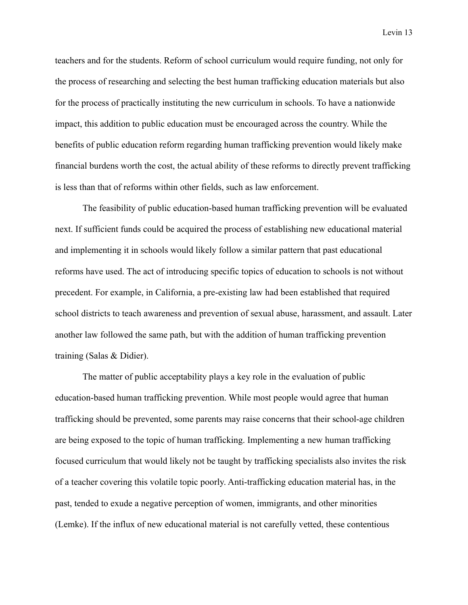teachers and for the students. Reform of school curriculum would require funding, not only for the process of researching and selecting the best human trafficking education materials but also for the process of practically instituting the new curriculum in schools. To have a nationwide impact, this addition to public education must be encouraged across the country. While the benefits of public education reform regarding human trafficking prevention would likely make financial burdens worth the cost, the actual ability of these reforms to directly prevent trafficking is less than that of reforms within other fields, such as law enforcement.

The feasibility of public education-based human trafficking prevention will be evaluated next. If sufficient funds could be acquired the process of establishing new educational material and implementing it in schools would likely follow a similar pattern that past educational reforms have used. The act of introducing specific topics of education to schools is not without precedent. For example, in California, a pre-existing law had been established that required school districts to teach awareness and prevention of sexual abuse, harassment, and assault. Later another law followed the same path, but with the addition of human trafficking prevention training (Salas & Didier).

The matter of public acceptability plays a key role in the evaluation of public education-based human trafficking prevention. While most people would agree that human trafficking should be prevented, some parents may raise concerns that their school-age children are being exposed to the topic of human trafficking. Implementing a new human trafficking focused curriculum that would likely not be taught by trafficking specialists also invites the risk of a teacher covering this volatile topic poorly. Anti-trafficking education material has, in the past, tended to exude a negative perception of women, immigrants, and other minorities (Lemke). If the influx of new educational material is not carefully vetted, these contentious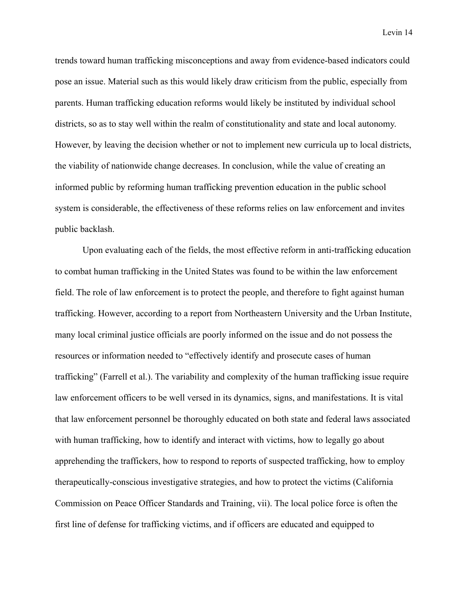trends toward human trafficking misconceptions and away from evidence-based indicators could pose an issue. Material such as this would likely draw criticism from the public, especially from parents. Human trafficking education reforms would likely be instituted by individual school districts, so as to stay well within the realm of constitutionality and state and local autonomy. However, by leaving the decision whether or not to implement new curricula up to local districts, the viability of nationwide change decreases. In conclusion, while the value of creating an informed public by reforming human trafficking prevention education in the public school system is considerable, the effectiveness of these reforms relies on law enforcement and invites public backlash.

Upon evaluating each of the fields, the most effective reform in anti-trafficking education to combat human trafficking in the United States was found to be within the law enforcement field. The role of law enforcement is to protect the people, and therefore to fight against human trafficking. However, according to a report from Northeastern University and the Urban Institute, many local criminal justice officials are poorly informed on the issue and do not possess the resources or information needed to "effectively identify and prosecute cases of human trafficking" (Farrell et al.). The variability and complexity of the human trafficking issue require law enforcement officers to be well versed in its dynamics, signs, and manifestations. It is vital that law enforcement personnel be thoroughly educated on both state and federal laws associated with human trafficking, how to identify and interact with victims, how to legally go about apprehending the traffickers, how to respond to reports of suspected trafficking, how to employ therapeutically-conscious investigative strategies, and how to protect the victims (California Commission on Peace Officer Standards and Training, vii). The local police force is often the first line of defense for trafficking victims, and if officers are educated and equipped to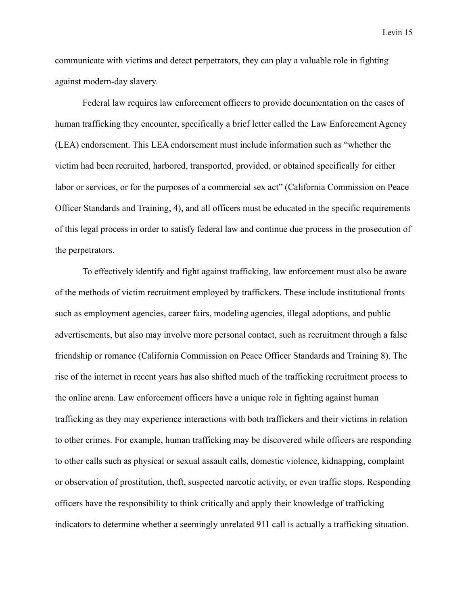communicate with victims and detect perpetrators, they can play a valuable role in fighting against modern-day slavery.

Federal law requires law enforcement officers to provide documentation on the cases of human trafficking they encounter, specifically a brief letter called the Law Enforcement Agency (LEA) endorsement. This LEA endorsement must include information such as "whether the victim had been recruited, harbored, transported, provided, or obtained specifically for either labor or services, or for the purposes of a commercial sex act" (California Commission on Peace Officer Standards and Training, 4), and all officers must be educated in the specific requirements of this legal process in order to satisfy federal law and continue due process in the prosecution of the perpetrators.

To effectively identify and fight against trafficking, law enforcement must also be aware of the methods of victim recruitment employed by traffickers. These include institutional fronts such as employment agencies, career fairs, modeling agencies, illegal adoptions, and public advertisements, but also may involve more personal contact, such as recruitment through a false friendship or romance (California Commission on Peace Officer Standards and Training 8). The rise of the internet in recent years has also shifted much of the trafficking recruitment process to the online arena. Law enforcement officers have a unique role in fighting against human trafficking as they may experience interactions with both traffickers and their victims in relation to other crimes. For example, human trafficking may be discovered while officers are responding to other calls such as physical or sexual assault calls, domestic violence, kidnapping, complaint or observation of prostitution, theft, suspected narcotic activity, or even traffic stops. Responding officers have the responsibility to think critically and apply their knowledge of trafficking indicators to determine whether a seemingly unrelated 911 call is actually a trafficking situation.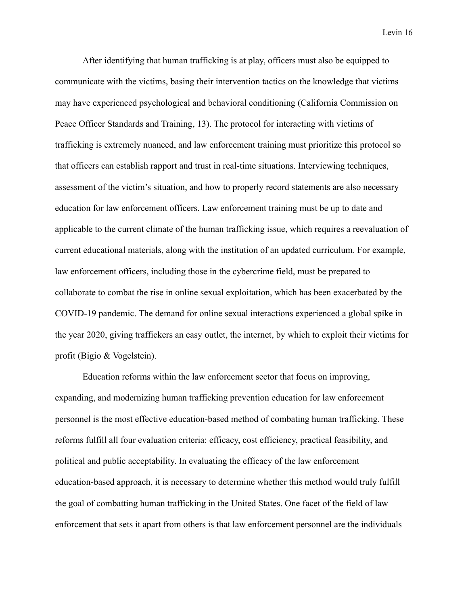After identifying that human trafficking is at play, officers must also be equipped to communicate with the victims, basing their intervention tactics on the knowledge that victims may have experienced psychological and behavioral conditioning (California Commission on Peace Officer Standards and Training, 13). The protocol for interacting with victims of trafficking is extremely nuanced, and law enforcement training must prioritize this protocol so that officers can establish rapport and trust in real-time situations. Interviewing techniques, assessment of the victim's situation, and how to properly record statements are also necessary education for law enforcement officers. Law enforcement training must be up to date and applicable to the current climate of the human trafficking issue, which requires a reevaluation of current educational materials, along with the institution of an updated curriculum. For example, law enforcement officers, including those in the cybercrime field, must be prepared to collaborate to combat the rise in online sexual exploitation, which has been exacerbated by the COVID-19 pandemic. The demand for online sexual interactions experienced a global spike in the year 2020, giving traffickers an easy outlet, the internet, by which to exploit their victims for profit (Bigio & Vogelstein).

Education reforms within the law enforcement sector that focus on improving, expanding, and modernizing human trafficking prevention education for law enforcement personnel is the most effective education-based method of combating human trafficking. These reforms fulfill all four evaluation criteria: efficacy, cost efficiency, practical feasibility, and political and public acceptability. In evaluating the efficacy of the law enforcement education-based approach, it is necessary to determine whether this method would truly fulfill the goal of combatting human trafficking in the United States. One facet of the field of law enforcement that sets it apart from others is that law enforcement personnel are the individuals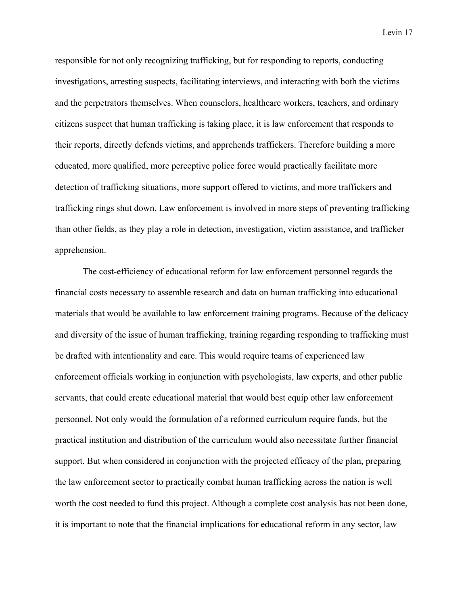responsible for not only recognizing trafficking, but for responding to reports, conducting investigations, arresting suspects, facilitating interviews, and interacting with both the victims and the perpetrators themselves. When counselors, healthcare workers, teachers, and ordinary citizens suspect that human trafficking is taking place, it is law enforcement that responds to their reports, directly defends victims, and apprehends traffickers. Therefore building a more educated, more qualified, more perceptive police force would practically facilitate more detection of trafficking situations, more support offered to victims, and more traffickers and trafficking rings shut down. Law enforcement is involved in more steps of preventing trafficking than other fields, as they play a role in detection, investigation, victim assistance, and trafficker apprehension.

The cost-efficiency of educational reform for law enforcement personnel regards the financial costs necessary to assemble research and data on human trafficking into educational materials that would be available to law enforcement training programs. Because of the delicacy and diversity of the issue of human trafficking, training regarding responding to trafficking must be drafted with intentionality and care. This would require teams of experienced law enforcement officials working in conjunction with psychologists, law experts, and other public servants, that could create educational material that would best equip other law enforcement personnel. Not only would the formulation of a reformed curriculum require funds, but the practical institution and distribution of the curriculum would also necessitate further financial support. But when considered in conjunction with the projected efficacy of the plan, preparing the law enforcement sector to practically combat human trafficking across the nation is well worth the cost needed to fund this project. Although a complete cost analysis has not been done, it is important to note that the financial implications for educational reform in any sector, law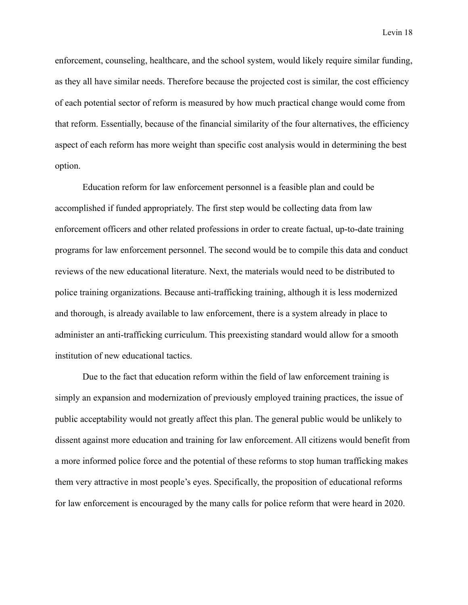enforcement, counseling, healthcare, and the school system, would likely require similar funding, as they all have similar needs. Therefore because the projected cost is similar, the cost efficiency of each potential sector of reform is measured by how much practical change would come from that reform. Essentially, because of the financial similarity of the four alternatives, the efficiency aspect of each reform has more weight than specific cost analysis would in determining the best option.

Education reform for law enforcement personnel is a feasible plan and could be accomplished if funded appropriately. The first step would be collecting data from law enforcement officers and other related professions in order to create factual, up-to-date training programs for law enforcement personnel. The second would be to compile this data and conduct reviews of the new educational literature. Next, the materials would need to be distributed to police training organizations. Because anti-trafficking training, although it is less modernized and thorough, is already available to law enforcement, there is a system already in place to administer an anti-trafficking curriculum. This preexisting standard would allow for a smooth institution of new educational tactics.

Due to the fact that education reform within the field of law enforcement training is simply an expansion and modernization of previously employed training practices, the issue of public acceptability would not greatly affect this plan. The general public would be unlikely to dissent against more education and training for law enforcement. All citizens would benefit from a more informed police force and the potential of these reforms to stop human trafficking makes them very attractive in most people's eyes. Specifically, the proposition of educational reforms for law enforcement is encouraged by the many calls for police reform that were heard in 2020.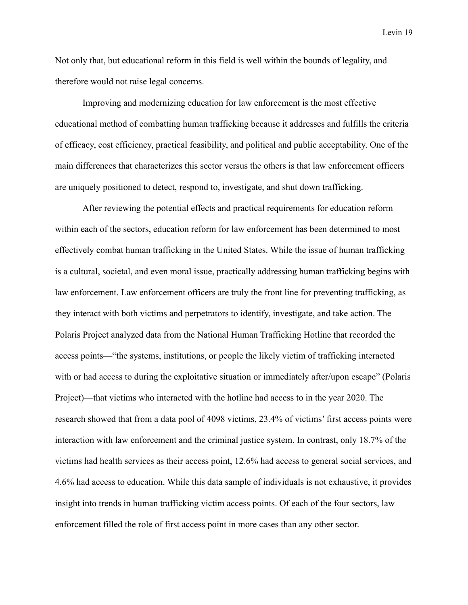Not only that, but educational reform in this field is well within the bounds of legality, and therefore would not raise legal concerns.

Improving and modernizing education for law enforcement is the most effective educational method of combatting human trafficking because it addresses and fulfills the criteria of efficacy, cost efficiency, practical feasibility, and political and public acceptability. One of the main differences that characterizes this sector versus the others is that law enforcement officers are uniquely positioned to detect, respond to, investigate, and shut down trafficking.

After reviewing the potential effects and practical requirements for education reform within each of the sectors, education reform for law enforcement has been determined to most effectively combat human trafficking in the United States. While the issue of human trafficking is a cultural, societal, and even moral issue, practically addressing human trafficking begins with law enforcement. Law enforcement officers are truly the front line for preventing trafficking, as they interact with both victims and perpetrators to identify, investigate, and take action. The Polaris Project analyzed data from the National Human Trafficking Hotline that recorded the access points—"the systems, institutions, or people the likely victim of trafficking interacted with or had access to during the exploitative situation or immediately after/upon escape" (Polaris Project)—that victims who interacted with the hotline had access to in the year 2020. The research showed that from a data pool of 4098 victims, 23.4% of victims' first access points were interaction with law enforcement and the criminal justice system. In contrast, only 18.7% of the victims had health services as their access point, 12.6% had access to general social services, and 4.6% had access to education. While this data sample of individuals is not exhaustive, it provides insight into trends in human trafficking victim access points. Of each of the four sectors, law enforcement filled the role of first access point in more cases than any other sector.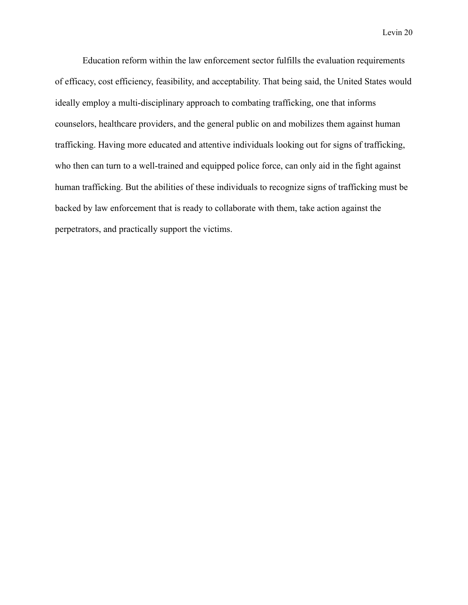Education reform within the law enforcement sector fulfills the evaluation requirements of efficacy, cost efficiency, feasibility, and acceptability. That being said, the United States would ideally employ a multi-disciplinary approach to combating trafficking, one that informs counselors, healthcare providers, and the general public on and mobilizes them against human trafficking. Having more educated and attentive individuals looking out for signs of trafficking, who then can turn to a well-trained and equipped police force, can only aid in the fight against human trafficking. But the abilities of these individuals to recognize signs of trafficking must be backed by law enforcement that is ready to collaborate with them, take action against the perpetrators, and practically support the victims.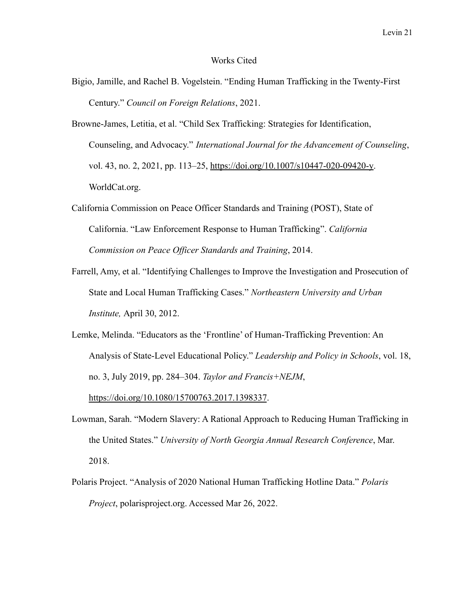#### Works Cited

- Bigio, Jamille, and Rachel B. Vogelstein. "Ending Human Trafficking in the Twenty-First Century." *Council on Foreign Relations*, 2021.
- Browne-James, Letitia, et al. "Child Sex Trafficking: Strategies for Identification, Counseling, and Advocacy." *International Journal for the Advancement of Counseling*, vol. 43, no. 2, 2021, pp. 113–25, [https://doi.org/10.1007/s10447-020-09420-y.](https://doi.org/10.1007/s10447-020-09420-y) WorldCat.org.
- California Commission on Peace Officer Standards and Training (POST), State of California. "Law Enforcement Response to Human Trafficking". *California Commission on Peace Officer Standards and Training*, 2014.
- Farrell, Amy, et al. "Identifying Challenges to Improve the Investigation and Prosecution of State and Local Human Trafficking Cases." *Northeastern University and Urban Institute,* April 30, 2012.
- Lemke, Melinda. "Educators as the 'Frontline' of Human-Trafficking Prevention: An Analysis of State-Level Educational Policy." *Leadership and Policy in Schools*, vol. 18, no. 3, July 2019, pp. 284–304. *Taylor and Francis+NEJM*[,](https://doi.org/10.1080/15700763.2017.1398337) <https://doi.org/10.1080/15700763.2017.1398337>.
- Lowman, Sarah. "Modern Slavery: A Rational Approach to Reducing Human Trafficking in the United States." *University of North Georgia Annual Research Conference*, Mar. 2018.
- Polaris Project. "Analysis of 2020 National Human Trafficking Hotline Data." *Polaris Project*, polarisproject.org. Accessed Mar 26, 2022.